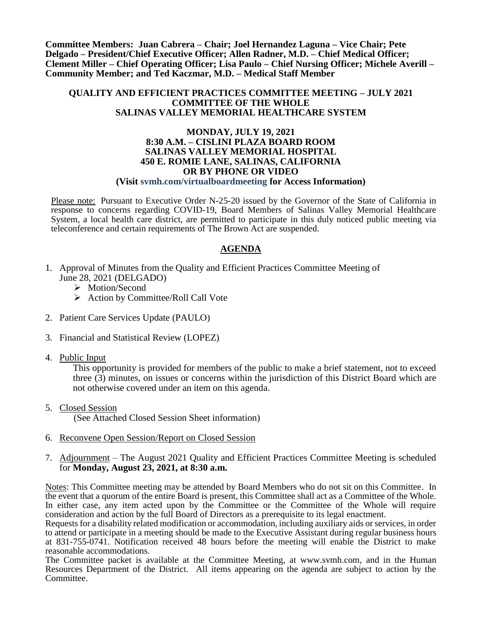**Committee Members: Juan Cabrera – Chair; Joel Hernandez Laguna – Vice Chair; Pete Delgado – President/Chief Executive Officer; Allen Radner, M.D. – Chief Medical Officer; Clement Miller – Chief Operating Officer; Lisa Paulo – Chief Nursing Officer; Michele Averill – Community Member; and Ted Kaczmar, M.D. – Medical Staff Member**

#### **QUALITY AND EFFICIENT PRACTICES COMMITTEE MEETING – JULY 2021 COMMITTEE OF THE WHOLE SALINAS VALLEY MEMORIAL HEALTHCARE SYSTEM**

#### **MONDAY, JULY 19, 2021 8:30 A.M. – CISLINI PLAZA BOARD ROOM SALINAS VALLEY MEMORIAL HOSPITAL 450 E. ROMIE LANE, SALINAS, CALIFORNIA OR BY PHONE OR VIDEO (Visit svmh.com/virtualboardmeeting for Access Information)**

Please note: Pursuant to Executive Order N-25-20 issued by the Governor of the State of California in response to concerns regarding COVID-19, Board Members of Salinas Valley Memorial Healthcare System, a local health care district, are permitted to participate in this duly noticed public meeting via teleconference and certain requirements of The Brown Act are suspended.

# **AGENDA**

- 1. Approval of Minutes from the Quality and Efficient Practices Committee Meeting of June 28, 2021 (DELGADO)
	- > Motion/Second
	- $\triangleright$  Action by Committee/Roll Call Vote
- 2. Patient Care Services Update (PAULO)
- 3. Financial and Statistical Review (LOPEZ)
- 4. Public Input

This opportunity is provided for members of the public to make a brief statement, not to exceed three (3) minutes, on issues or concerns within the jurisdiction of this District Board which are not otherwise covered under an item on this agenda.

5. Closed Session

(See Attached Closed Session Sheet information)

- 6. Reconvene Open Session/Report on Closed Session
- 7. Adjournment The August 2021 Quality and Efficient Practices Committee Meeting is scheduled for **Monday, August 23, 2021, at 8:30 a.m.**

Notes: This Committee meeting may be attended by Board Members who do not sit on this Committee. In the event that a quorum of the entire Board is present, this Committee shall act as a Committee of the Whole. In either case, any item acted upon by the Committee or the Committee of the Whole will require consideration and action by the full Board of Directors as a prerequisite to its legal enactment.

Requests for a disability related modification or accommodation, including auxiliary aids or services, in order to attend or participate in a meeting should be made to the Executive Assistant during regular business hours at 831-755-0741. Notification received 48 hours before the meeting will enable the District to make reasonable accommodations.

The Committee packet is available at the Committee Meeting, at www.svmh.com, and in the Human Resources Department of the District. All items appearing on the agenda are subject to action by the Committee.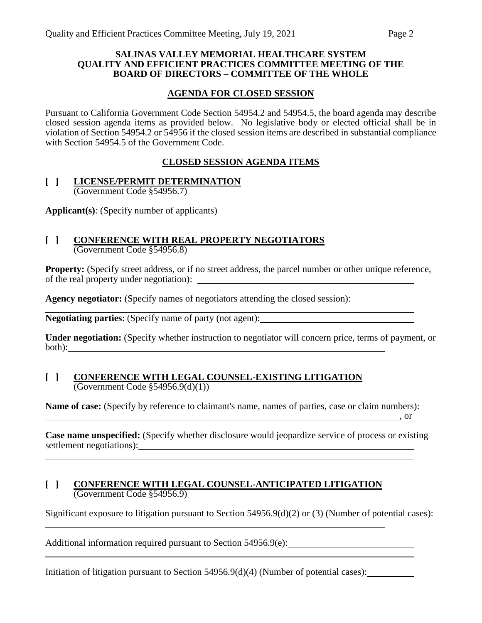#### **SALINAS VALLEY MEMORIAL HEALTHCARE SYSTEM QUALITY AND EFFICIENT PRACTICES COMMITTEE MEETING OF THE BOARD OF DIRECTORS – COMMITTEE OF THE WHOLE**

## **AGENDA FOR CLOSED SESSION**

Pursuant to California Government Code Section 54954.2 and 54954.5, the board agenda may describe closed session agenda items as provided below. No legislative body or elected official shall be in violation of Section 54954.2 or 54956 if the closed session items are described in substantial compliance with Section 54954.5 of the Government Code.

## **CLOSED SESSION AGENDA ITEMS**

#### **[ ] LICENSE/PERMIT DETERMINATION** (Government Code §54956.7)

**Applicant(s)**: (Specify number of applicants)

### **[ ] CONFERENCE WITH REAL PROPERTY NEGOTIATORS** (Government Code §54956.8)

**Property:** (Specify street address, or if no street address, the parcel number or other unique reference, of the real property under negotiation):

**Agency negotiator:** (Specify names of negotiators attending the closed session):

**Negotiating parties**: (Specify name of party (not agent):

**Under negotiation:** (Specify whether instruction to negotiator will concern price, terms of payment, or both):

#### **[ ] CONFERENCE WITH LEGAL COUNSEL-EXISTING LITIGATION** (Government Code §54956.9(d)(1))

**Name of case:** (Specify by reference to claimant's name, names of parties, case or claim numbers):

**Case name unspecified:** (Specify whether disclosure would jeopardize service of process or existing settlement negotiations):

, or  $\overline{\phantom{a}}$  , or

## **[ ] CONFERENCE WITH LEGAL COUNSEL-ANTICIPATED LITIGATION** (Government Code §54956.9)

Significant exposure to litigation pursuant to Section 54956.9(d)(2) or (3) (Number of potential cases):

Additional information required pursuant to Section 54956.9(e):

Initiation of litigation pursuant to Section 54956.9(d)(4) (Number of potential cases):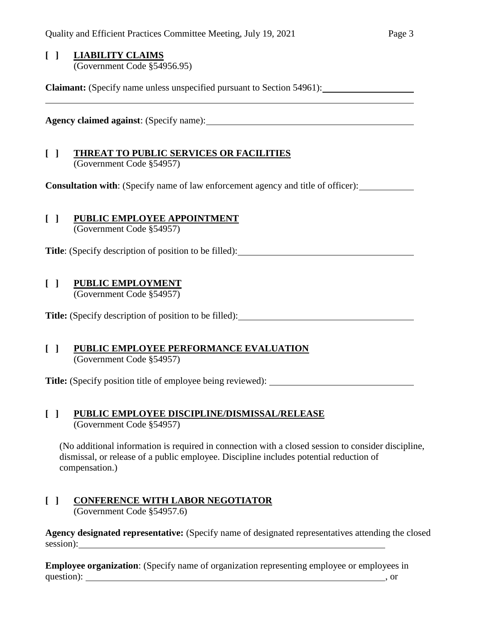#### **[ ] LIABILITY CLAIMS** (Government Code §54956.95)

**Claimant:** (Specify name unless unspecified pursuant to Section 54961):

**Agency claimed against**: (Specify name):

## **[ ] THREAT TO PUBLIC SERVICES OR FACILITIES** (Government Code §54957)

**Consultation with**: (Specify name of law enforcement agency and title of officer):

# **[ ] PUBLIC EMPLOYEE APPOINTMENT**

(Government Code §54957)

Title: (Specify description of position to be filled):

# **[ ] PUBLIC EMPLOYMENT**

(Government Code §54957)

Title: (Specify description of position to be filled):

## **[ ] PUBLIC EMPLOYEE PERFORMANCE EVALUATION** (Government Code §54957)

**Title:** (Specify position title of employee being reviewed):

## **[ ] PUBLIC EMPLOYEE DISCIPLINE/DISMISSAL/RELEASE** (Government Code §54957)

(No additional information is required in connection with a closed session to consider discipline, dismissal, or release of a public employee. Discipline includes potential reduction of compensation.)

#### **[ ] CONFERENCE WITH LABOR NEGOTIATOR** (Government Code §54957.6)

**Agency designated representative:** (Specify name of designated representatives attending the closed session):

**Employee organization**: (Specify name of organization representing employee or employees in question): , or